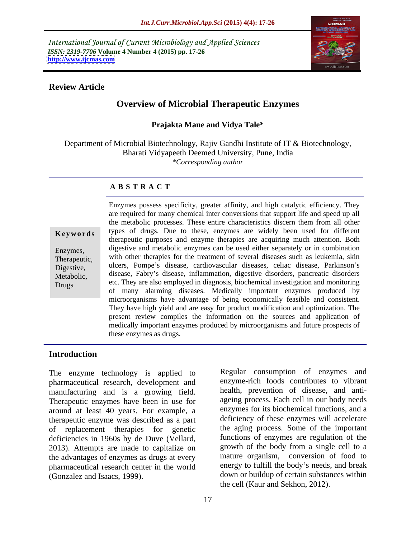International Journal of Current Microbiology and Applied Sciences *ISSN: 2319-7706* **Volume 4 Number 4 (2015) pp. 17-26 <http://www.ijcmas.com>**



## **Review Article**

# **Overview of Microbial Therapeutic Enzymes**

## **Prajakta Mane and Vidya Tale\***

Department of Microbial Biotechnology, Rajiv Gandhi Institute of IT & Biotechnology, Bharati Vidyapeeth Deemed University, Pune, India *\*Corresponding author*

## **A B S T R A C T**

Drugs

Enzymes possess specificity, greater affinity, and high catalytic efficiency. They are required for many chemical inter conversions that support life and speed up all the metabolic processes. These entire characteristics discern them from all other **Keywords** types of drugs. Due to these, enzymes are widely been used for different therapeutic purposes and enzyme therapies are acquiring much attention. Both digestive and metabolic enzymes can be used either separately or in combination Enzymes, Therapeutic, with other therapies for the treatment of several diseases such as leukemia, skin Therapeutic, Digestive, ulcers, Pompe's disease, cardiovascular diseases, celiac disease, Parkinson's Metabolic, disease, Fabry's disease, inflammation, digestive disorders, pancreatic disorders etc. They are also employed in diagnosis, biochemical investigation and monitoring of many alarming diseases. Medically important enzymes produced by microorganisms have advantage of being economically feasible and consistent. They have high yield and are easy for product modification and optimization. The present review compiles the information on the sources and application of medically important enzymes produced by microorganisms and future prospects of these enzymes as drugs.

## **Introduction**

The enzyme technology is applied to pharmaceutical research, development and manufacturing and is a growing field. Therapeutic enzymes have been in use for around at least 40 years. For example, a therapeutic enzyme was described as a part of replacement therapies for genetic deficiencies in 1960s by de Duve (Vellard, 2013). Attempts are made to capitalize on the advantages of enzymes as drugs at every pharmaceutical research center in the world

(Gonzalez and Isaacs, 1999). down or buildup of certain substances within Regular consumption of enzymes and enzyme-rich foods contributes to vibrant health, prevention of disease, and anti ageing process. Each cell in our body needs enzymes for its biochemical functions, and a deficiency of these enzymes will accelerate the aging process. Some of the important functions of enzymes are regulation of the growth of the body from a single cell to a mature organism, conversion of food to energy to fulfill the body's needs, and break the cell (Kaur and Sekhon, 2012).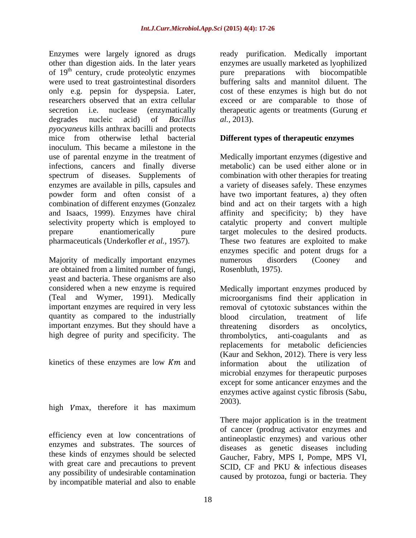Enzymes were largely ignored as drugs aready purification. Medically important other than digestion aids. In the later years enzymes are usually marketed as lyophilized of 19<sup>th</sup> century, crude proteolytic enzymes pure preparations with biocompatible were used to treat gastrointestinal disorders buffering salts and mannitol diluent. The only e.g. pepsin for dyspepsia. Later, cost of these enzymes is high but do not researchers observed that an extra cellular exceed or are comparable to those of secretion i.e. nuclease (enzymatically therapeutic agents or treatments (Gurung *et*  degrades nucleic acid) of *Bacillus pyocyaneus* kills anthrax bacilli and protects mice from otherwise lethal bacterial **Different types of therapeutic enzymes** inoculum. This became a milestone in the use of parental enzyme in the treatment of Medically important enzymes (digestive and infections, cancers and finally diverse metabolic) can be used either alone or in spectrum of diseases. Supplements of combination with other therapies for treating enzymes are available in pills, capsules and powder form and often consist of a have two important features, a) they often combination of different enzymes (Gonzalez bind and act on their targets with a high and Isaacs, 1999). Enzymes have chiral affinity and specificity; b) they have selectivity property which is employed to catalytic property and convert multiple prepare enantiomerically pure target molecules to the desired products. pharmaceuticals (Underkofler *et al.,* 1957). These two features are exploited to make

Majority of medically important enzymes mumerous disorders (Cooney and are obtained from a limited number of fungi, yeast and bacteria. These organisms are also quantity as compared to the industrially blood circulation, treatment of life important enzymes. But they should have a threatening disorders as oncolvtics, high degree of purity and specificity. The thrombolytics, anti-coagulants and as

kinetics of these enzymes are low  $Km$  and information about the utilization of

high  $V$ max, therefore it has maximum  $2003$ ).

efficiency even at low concentrations of enzymes and substrates. The sources of these kinds of enzymes should be selected with great care and precautions to prevent any possibility of undesirable contamination by incompatible material and also to enable

pure preparations with biocompatible *al.,* 2013).

a variety of diseases safely. These enzymes enzymes specific and potent drugs for a numerous disorders (Cooney and Rosenbluth, 1975).

considered when a new enzyme is required Medically important enzymes produced by (Teal and Wymer, 1991). Medically microorganisms find their application in important enzymes are required in very less removal of cytotoxic substances within the blood circulation, treatment of life threatening disorders as oncolytics, thrombolytics, anti-coagulants replacements for metabolic deficiencies (Kaur and Sekhon, 2012). There is very less information about the utilization of microbial enzymes for therapeutic purposes except for some anticancer enzymes and the enzymes active against cystic fibrosis (Sabu, 2003).

> There major application is in the treatment of cancer (prodrug activator enzymes and antineoplastic enzymes) and various other diseases as genetic diseases including Gaucher, Fabry, MPS I, Pompe, MPS VI, SCID, CF and PKU & infectious diseases caused by protozoa, fungi or bacteria. They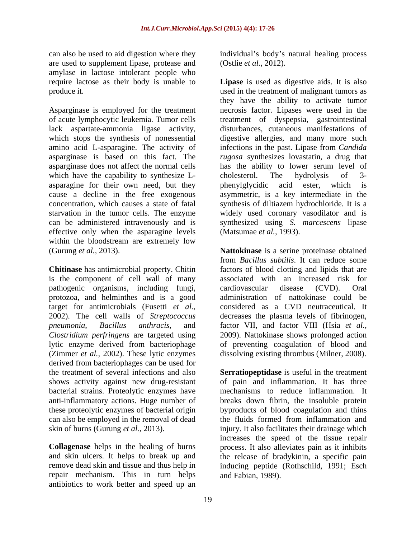are used to supplement lipase, protease and amylase in lactose intolerant people who

Asparginase is employed for the treatment lack aspartate-ammonia ligase activity, which have the capability to synthesize L-cholesterol. The hydrolysis of 3asparagine for their own need, but they been phenylglycidic acid ester, which is effective only when the asparagine levels within the bloodstream are extremely low

is the component of cell wall of many pathogenic organisms, including fungi, protozoa, and helminthes and is a good target for antimicrobials (Fusetti *et al., Clostridium perfringens* are targeted using lytic enzyme derived from bacteriophage (Zimmer *et al.,* 2002). These lytic enzymes dissolving existing thrombus (Milner, 2008). derived from bacteriophages can be used for bacterial strains. Proteolytic enzymes have<br>anti-inflammatory actions. Huge number of can also be employed in the removal of dead

repair mechanism. This in turn helps antibiotics to work better and speed up an

can also be used to aid digestion where they individual's body's natural healing process (Ostlie *et al.,* 2012).

require lactose as their body is unable to **Lipase** is used as digestive aids. It is also produce it. The interval of malignant tumors as produce it. of acute lymphocytic leukemia. Tumor cells treatment of dyspepsia, gastrointestinal which stops the synthesis of nonessential digestive allergies, and many more such amino acid L-asparagine. The activity of infections in the past. Lipase from *Candida*  asparginase is based on this fact. The *rugosa* synthesizes lovastatin, a drug that asparginase does not affect the normal cells has the ability to lowerserum level of cause a decline in the free exogenous asymmetric, is a key intermediate in the concentration, which causes a state of fatal synthesis of diltiazem hydrochloride. It is a starvation in the tumor cells. The enzyme widely used coronary vasodilator and is can be administered intravenously and is synthesized using *S. marcescens* lipase they have the ability to activate tumor necrosis factor. Lipases were used in the disturbances, cutaneous manifestations of cholesterol. The hydrolysis of 3 phenylglycidic acid ester, which (Matsumae *et al.,* 1993).

(Gurung *et al.,* 2013). **Nattokinase** is a serine proteinase obtained **Chitinase** has antimicrobial property. Chitin factors of blood clotting and lipids that are 2002). The cell walls of *Streptococcus*  decreases the plasma levels of fibrinogen, *pneumonia*, *Bacillus anthracis,* and factor VII, and factor VIII (Hsia *et al.,* from *Bacillus subtilis*. It can reduce some associated with an increased risk for cardiovascular disease (CVD). Oral administration of nattokinase could be considered as a CVD neutraceutical. It 2009). Nattokinase shows prolonged action of preventing coagulation of blood and

the treatment of several infections and also **Serratiopeptidase** is useful in the treatment shows activity against new drug-resistant of pain and inflammation. It has three anti-inflammatory actions. Huge number of breaks down fibrin, the insoluble protein these proteolytic enzymes of bacterial origin byproducts of blood coagulation and thins skin of burns (Gurung *et al.*, 2013). injury. It also facilitates their drainage which **Collagenase** helps in the healing of burns process. It also alleviates pain as it inhibits and skin ulcers. It helps to break up and the release of bradykinin, a specific pain remove dead skin and tissue and thus help in inducing peptide (Rothschild, 1991; Esch mechanisms to reduce inflammation. It the fluids formed from inflammation and increases the speed of the tissue repair and Fabian, 1989).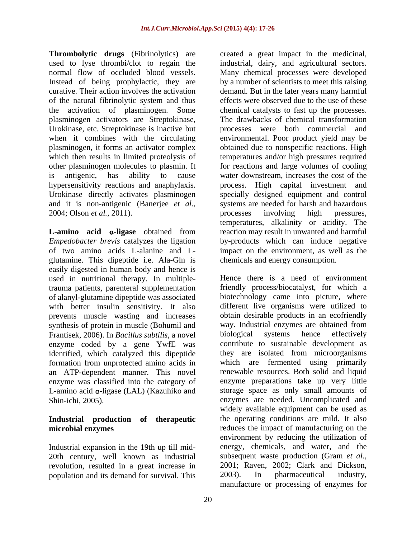**Thrombolytic drugs** (Fibrinolytics) are used to lyse thrombi/clot to regain the industrial, dairy, and agricultural sectors. normal flow of occluded blood vessels. Many chemical processes were developed Instead of being prophylactic, they are by a number of scientists to meet this raising curative. Their action involves the activation demand. But in the later years many harmful of the natural fibrinolytic system and thus the activation of plasminogen. Some plasminogen activators are Streptokinase, Urokinase, etc. Streptokinase is inactive but processes were both commercial and when it combines with the circulating environmental. Poor product yield may be plasminogen, it forms an activator complex obtained due to nonspecific reactions. High which then results in limited proteolysis of temperatures and/or high pressures required other plasminogen molecules to plasmin. It for reactions and large volumes of cooling is antigenic, has ability to cause water downstream, increases the cost of the hypersensitivity reactions and anaphylaxis. process. High capital investment and Urokinase directly activates plasminogen specially designed equipment and control and it is non-antigenic (Banerjee *et al.*, systems are needed for harsh and hazardous 2004; Olson *et al.*, 2011). processes involving high pressures,

**L-amino acid**  $\alpha$ -ligase obtained from reaction may result in unwanted and harmful *Empedobacter brevis* catalyzes the ligation by-products which can induce negative of two amino acids L-alanine and L- impact on the environment, as well as the glutamine. This dipeptide i.e. Ala-Gln is easily digested in human body and hence is used in nutritional therapy. In multipleof alanyl-glutamine dipeptide was associated with better insulin sensitivity. It also prevents muscle wasting and increases synthesis of protein in muscle (Bohumil and Frantisek, 2006). In *Bacillus subtilis,* a novel enzyme coded by a gene YwfE was identified, which catalyzed this dipeptide an ATP-dependent manner. This novel L-amino acid  $\alpha$ -ligase (LAL) (Kazuhiko and

# **Industrial production of therapeutic**

Industrial expansion in the 19th up till mid revolution, resulted in a great increase in 2001; Raven, 2002; Clark and Dickson, nopulation and its demand for survival. This 2003). In pharmaceutical industry, population and its demand for survival. This

created a great impact in the medicinal, effects were observed due to the use of these chemical catalysts to fast up the processes. The drawbacks of chemical transformation processes involving high pressures, temperatures, alkalinity or acidity. The chemicals and energy consumption.

trauma patients, parenteral supplementation friendly process/biocatalyst, for which a formation from unprotected amino acids in which are fermented using primarily enzyme was classified into the category of enzyme preparations take up very little Shin-ichi, 2005). enzymes are needed. Uncomplicated and **microbial enzymes** reduces the impact of manufacturing on the 20th century, well known as industrial subsequent waste production (Gram *et al.,* Hence there is a need of environment biotechnology came into picture, where different live organisms were utilized to obtain desirable products in an ecofriendly way. Industrial enzymes are obtained from biological systems hence effectively contribute to sustainable development as they are isolated from microorganisms renewable resources. Both solid and liquid storage space as only small amounts of widely available equipment can be used as the operating conditions are mild. It also environment by reducing the utilization of energy, chemicals, and water, and the 2001; Raven, 2002; Clark and Dickson, 2003). In pharmaceutical industry, manufacture or processing of enzymes for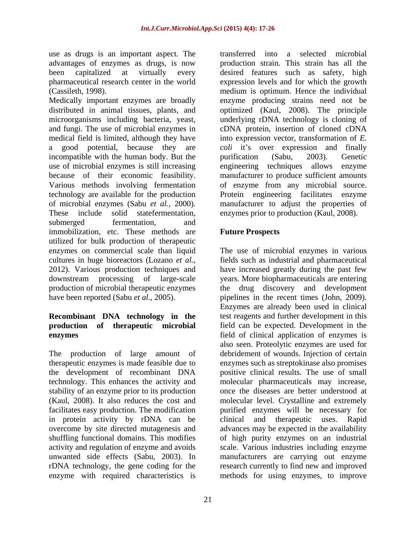use as drugs is an important aspect. The

Medically important enzymes are broadly enzyme producing strains need not be distributed in animal tissues, plants, and optimized (Kaul, 2008). The principle microorganisms including bacteria, yeast, underlying rDNA technology is cloning of and fungi. The use of microbial enzymes in cDNA protein, insertion of cloned cDNA medical field is limited, although they have into expression vector, transformation of *E.*  a good potential, because they are coli it's over expression and finally incompatible with the human body. But the purification (Sabu, 2003). Genetic use of microbial enzymes is still increasing engineering techniques allows enzyme because of their economic feasibility. manufacturer to produce sufficient amounts Various methods involving fermentation of enzyme from any microbial source. technology are available for the production Protein engineering facilitates enzyme of microbial enzymes (Sabu *et al.*, 2000). In manufacturer to adjust the properties of These include solid statefermentation, enzymes prior to production (Kaul, 2008). submerged fermentation, and submerged fermentation, and immobilization, etc. These methods are **Future Prospects** utilized for bulk production of therapeutic enzymes on commercial scale than liquid The use of microbial enzymes in various cultures in huge bioreactors (Lozano *et al.,* fields such as industrial and pharmaceutical 2012). Various production techniques and have increased greatly during the past few downstream processing of large-scale years. More biopharmaceuticals are entering production of microbial therapeutic enzymes the drug discovery and development

in protein activity by rDNA can be clinical and therapeutic uses. Rapid enzyme with required characteristics is methods for using enzymes, to improve

advantages of enzymes as drugs, is now production strain. This strain has all the been capitalized at virtually every desired features such as safety, high pharmaceutical research center in the world expression levels and for which the growth (Cassileth, 1998). medium is optimum. Hence the individual transferred into a selected microbial purification (Sabu, 2003). Genetic manufacturer to adjust the properties of enzymes prior to production (Kaul, 2008).

# **Future Prospects**

have been reported (Sabu *et al.,* 2005). pipelines in the recent times (John, 2009). **Recombinant DNA technology in the** test reagents and further development in this **production of therapeutic microbial** field can be expected. Development in the **enzymes** field of clinical application of enzymes is The production of large amount of debridement of wounds. Injection of certain therapeutic enzymes is made feasible due to enzymes such as streptokinase also promises the development of recombinant DNA positive clinical results. The use of small technology. This enhances the activity and molecular pharmaceuticals may increase, stability of an enzyme prior to its production once the diseases are better understood at (Kaul, 2008). It also reduces the cost and molecular level. Crystalline and extremely facilitates easy production. The modification purified enzymes will be necessary for overcome by site directed mutagenesis and advances may be expected in the availability shuffling functional domains. This modifies of high purity enzymes on an industrial activity and regulation of enzyme and avoids scale. Various industries including enzyme unwanted side effects (Sabu, 2003). In manufacturers are carrying out enzyme rDNA technology, the gene coding for the research currently to find new and improved Enzymes are already been used in clinical also seen. Proteolytic enzymes are used for clinical and therapeutic uses. Rapid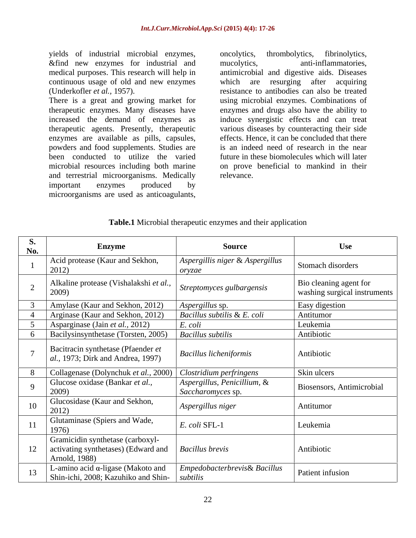yields of industrial microbial enzymes, oncolytics, thrombolytics, fibrinolytics, &find new enzymes for industrial and mucolytics, anti-inflammatories, medical purposes. This research will help in

There is a great and growing market for therapeutic agents. Presently, therapeutic enzymes are available as pills, capsules, powders and food supplements. Studies are been conducted to utilize the varied and terrestrial microorganisms. Medically important enzymes produced by

continuous usage of old and new enzymes which are resurging after acquiring (Underkofler *et al.,* 1957). resistance to antibodies can also be treated therapeutic enzymes. Many diseases have enzymes and drugs also have the ability to increased the demand of enzymes as induce synergistic effects and can treat microbial resources including both marine on prove beneficial to mankind in their yields of industrial microbial enzymes, oncolytics, thrombolytics, fibrinolytics, and meviorythes, controllant and mucolytics, medical purposes. This research will help in antimicrobial and digestive aids. Diseases continu antimicrobial and digestive aids. Diseases using microbial enzymes. Combinations of various diseases by counteracting their side effects. Hence, it can be concluded that there is an indeed need of research in the near future in these biomolecules which will later relevance.

## **Table.1** Microbial therapeutic enzymes and their application

| <b>S.</b><br>No. | <b>Enzyme</b>                                                                                                | <b>Source</b>                                    | <b>Use</b>                                             |
|------------------|--------------------------------------------------------------------------------------------------------------|--------------------------------------------------|--------------------------------------------------------|
|                  | Acid protease (Kaur and Sekhon,<br>2012)                                                                     | Aspergillis niger & Aspergillus<br>orvzae        | Stomach disorders                                      |
|                  | Alkaline protease (Vishalakshi et al.,<br>2009)                                                              | Streptomyces gulbargensis                        | Bio cleaning agent for<br>washing surgical instruments |
|                  | Amylase (Kaur and Sekhon, 2012)                                                                              | Aspergillus sp.                                  | Easy digestion                                         |
|                  | Arginase (Kaur and Sekhon, 2012)                                                                             | Bacillus subtilis & E. coli                      | Antitumor                                              |
|                  | Asparginase (Jain et al., 2012)                                                                              | E. coli                                          | Leukemia                                               |
|                  | Bacilysinsynthetase (Torsten, 2005)                                                                          | <b>Bacillus subtilis</b>                         | Antibiotic                                             |
|                  | Bacitracin synthetase (Pfaender et<br>al., 1973; Dirk and Andrea, 1997)                                      | <b>Bacillus licheniformis</b>                    | Antibiotic                                             |
|                  | Collagenase (Dolynchuk et al., 2000)   Clostridium perfringens                                               |                                                  | Skin ulcers                                            |
|                  | Glucose oxidase (Bankar et al.,<br>2009)                                                                     | Aspergillus, Penicillium, &<br>Saccharomyces sp. | Biosensors, Antimicrobial                              |
|                  | Glucosidase (Kaur and Sekhon,<br>2012)                                                                       | Aspergillus niger                                | Antitumor                                              |
|                  | Glutaminase (Spiers and Wade,<br>1976                                                                        | E. coli SFL-1                                    | Leukemia                                               |
|                  | Gramicidin synthetase (carboxyl-<br>  activating synthetases) (Edward and   Bacillus brevis<br>Arnold, 1988) |                                                  | Antibiotic                                             |
|                  | L-amino acid $\alpha$ -ligase (Makoto and<br>Shin-ichi, 2008; Kazuhiko and Shin-   subtilis                  | Empedobacterbrevis& Bacillus                     | Patient infusion                                       |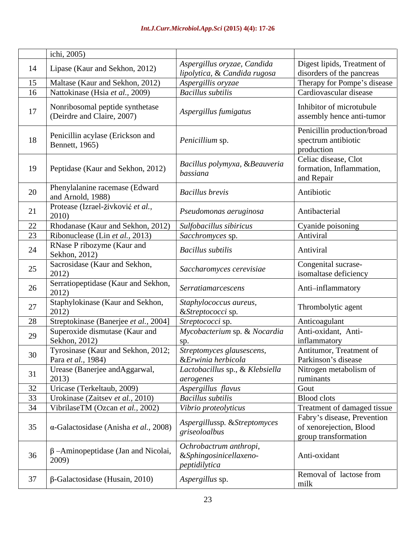|      | ichi, 2005)                                                   |                                                                   |                                                                                |
|------|---------------------------------------------------------------|-------------------------------------------------------------------|--------------------------------------------------------------------------------|
| 14   | Lipase (Kaur and Sekhon, 2012)                                | Aspergillus oryzae, Candida                                       | Digest lipids, Treatment of                                                    |
|      |                                                               | lipolytica, & Candida rugosa                                      | disorders of the pancreas                                                      |
| -15- | Maltase (Kaur and Sekhon, 2012)                               | Aspergillis oryzae                                                | Therapy for Pompe's disease                                                    |
| 16   | Nattokinase (Hsia et al., 2009)                               | <b>Bacillus subtilis</b>                                          | Cardiovascular disease                                                         |
|      | Nonribosomal peptide synthetase<br>(Deirdre and Claire, 2007) | Aspergillus fumigatus                                             | Inhibitor of microtubule<br>assembly hence anti-tumor                          |
|      | Penicillin acylase (Erickson and<br>Bennett, $1965$ )         | Penicillium sp.                                                   | Penicillin production/broad<br>spectrum antibiotic<br>production               |
|      | 19   Peptidase (Kaur and Sekhon, 2012)                        | Bacillus polymyxa, &Beauveria<br>bassiana                         | Celiac disease, Clot<br>formation, Inflammation,<br>and Repair                 |
| 20   | Phenylalanine racemase (Edward<br>and Arnold, 1988)           | <b>Bacillus brevis</b>                                            | Antibiotic                                                                     |
| -21  | Protease (Izrael-živković et al.,<br>2010)                    | Pseudomonas aeruginosa                                            | Antibacterial                                                                  |
| 22   | Rhodanase (Kaur and Sekhon, 2012) Sulfobacillus sibiricus     |                                                                   | Cyanide poisoning                                                              |
| 23   | Ribonuclease (Lin et al., 2013)                               | Sacchromyces sp.                                                  | Antiviral                                                                      |
| 24   | RNase P ribozyme (Kaur and<br>Sekhon, 2012)                   | <b>Bacillus subtilis</b>                                          | Antiviral                                                                      |
| 25   | Sacrosidase (Kaur and Sekhon,<br>2012)                        | Saccharomyces cerevisiae                                          | Congenital sucrase-<br>isomaltase deficiency                                   |
| 26   | Serratiopeptidase (Kaur and Sekhon,<br>2012)                  | Serratiamarcescens                                                | Anti-inflammatory                                                              |
| 27   | Staphylokinase (Kaur and Sekhon,<br>2012)                     | Staphylococcus aureus,<br>& Streptococci sp.                      | Thrombolytic agent                                                             |
| 28   | Streptokinase (Banerjee et al., 2004]                         | Streptococci sp.                                                  | Anticoagulant                                                                  |
| 29   | Superoxide dismutase (Kaur and<br>Sekhon, 2012)               | Mycobacterium sp. & Nocardia                                      | Anti-oxidant, Anti-<br>inflammatory                                            |
|      | Tyrosinase (Kaur and Sekhon, 2012;<br>Para et al., 1984)      | Streptomyces glausescens,<br>&Erwinia herbicola                   | Antitumor, Treatment of<br>Parkinson's disease                                 |
| 31   | Urease (Banerjee and Aggarwal,<br>2013)                       | Lactobacillus sp., & Klebsiella<br>aerogenes                      | Nitrogen metabolism of<br>ruminants                                            |
| 32   | Uricase (Terkeltaub, 2009)                                    | Aspergillus flavus                                                | Gout                                                                           |
| 33   | Urokinase (Zaitsev et al., 2010)                              | $\overline{Bacillus$ subtilis                                     | <b>Blood</b> clots                                                             |
| 34   | VibrilaseTM (Ozcan et al., 2002)                              | Vibrio proteolyticus                                              | Treatment of damaged tissue                                                    |
| 35   | $\alpha$ -Galactosidase (Anisha et al., 2008)                 | Aspergillussp. & Streptomyces<br>griseoloalbus                    | Fabry's disease, Prevention<br>of xenorejection, Blood<br>group transformation |
| 36   | $\beta$ –Aminopeptidase (Jan and Nicolai,<br>2009)            | Ochrobactrum anthropi,<br>&Sphingosinicellaxeno-<br>peptidilytica | Anti-oxidant                                                                   |
| 37   | $\beta$ -Galactosidase (Husain, 2010)                         | Aspergillus sp.                                                   | Removal of lactose from<br>milk                                                |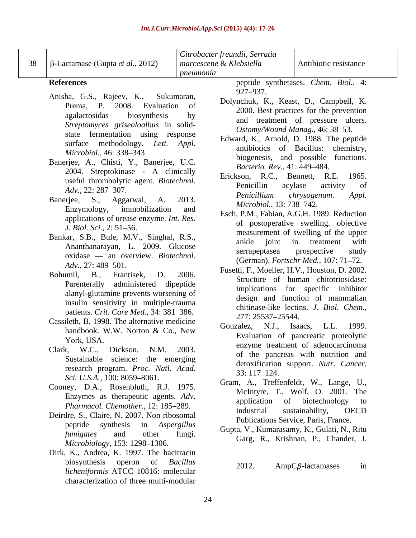|    |                                               | Citrobacter freundii, Serratia |                              |                                               |
|----|-----------------------------------------------|--------------------------------|------------------------------|-----------------------------------------------|
|    | 38   β-Lactamase (Gupta <i>et al.</i> , 2012) | marcescene & Klebsiella        |                              | Antibiotic resistance                         |
|    |                                               | pneumonia                      |                              |                                               |
|    | <b>References</b>                             |                                |                              | peptide synthetases. Chem. Biol., 4:          |
|    | Anisha, G.S., Rajeev, K., Sukumaran,          |                                | 927–937.                     |                                               |
|    | Prema, P. 2008. Evaluation of                 |                                |                              | Dolynchuk, K., Keast, D., Campbell, K.        |
|    | agalactosidas biosynthesis                    |                                |                              | 2000. Best practices for the prevention       |
|    | Streptomyces griseoloalbus in solid-          |                                |                              | and treatment of pressure ulcers.             |
|    |                                               |                                |                              | Ostomy/Wound Manag., 46: 38–53.               |
|    | state fermentation using response             |                                |                              | Edward, K., Arnold, D. 1988. The peptide      |
|    | surface methodology. Lett. Appl.              |                                |                              | antibiotics of Bacillus: chemistry,           |
|    | Microbiol., 46: 338–343                       |                                |                              | biogenesis, and possible functions.           |
|    | Banerjee, A., Chisti, Y., Banerjee, U.C.      |                                | Bacterio. Rev., 41: 449-484. |                                               |
|    | 2004. Streptokinase - A clinically            |                                |                              | Erickson, R.C., Bennett, R.E. 1965.           |
|    | useful thrombolytic agent. Biotechnol.        |                                |                              | Penicillin acylase activity of                |
|    | Adv., 22: 287–307.                            |                                |                              | Penicillium chrysogenum. Appl.                |
|    | Banerjee, S., Aggarwal, A. 2013.              |                                | Microbiol., 13: 738–742.     |                                               |
|    | Enzymology, immobilization and                |                                |                              | Esch, P.M., Fabian, A.G.H. 1989. Reduction    |
|    | applications of urease enzyme. Int. Res.      |                                |                              | of postoperative swelling. objective          |
|    | J. Biol. Sci., 2: 51–56.                      |                                |                              |                                               |
|    | Bankar, S.B., Bule, M.V., Singhal, R.S.,      |                                |                              | measurement of swelling of the upper          |
|    | Ananthanarayan, L. 2009. Glucose              |                                |                              | ankle joint in treatment with                 |
|    | oxidase - an overview. Biotechnol.            |                                |                              | serrapeptasea prospective study               |
|    | Adv., 27: 489–501.                            |                                |                              | (German). Fortschr Med., 107: 71–72.          |
|    | Bohumil, B., Frantisek, D. 2006.              |                                |                              | Fusetti, F., Moeller, H.V., Houston, D. 2002. |
|    | Parenterally administered dipeptide           |                                |                              | Structure of human chitotriosidase:           |
|    | alanyl-glutamine prevents worsening of        |                                |                              | implications for specific inhibitor           |
|    | insulin sensitivity in multiple-trauma        |                                |                              | design and function of mammalian              |
|    | patients. Crit. Care Med., 34: 381-386.       |                                |                              | chitinase-like lectins. J. Biol. Chem.,       |
|    | Cassileth, B. 1998. The alternative medicine  |                                | 277: 25537-25544.            |                                               |
|    | handbook. W.W. Norton & Co., New              |                                |                              | Gonzalez, N.J., Isaacs, L.L. 1999.            |
|    | York, USA.                                    |                                |                              | Evaluation of pancreatic proteolytic          |
|    |                                               |                                |                              | enzyme treatment of adenocarcinoma            |
|    | Clark, W.C., Dickson, N.M. 2003.              |                                |                              | of the pancreas with nutrition and            |
|    | Sustainable science: the emerging             |                                |                              | detoxification support. Nutr. Cancer,         |
|    | research program. Proc. Natl. Acad.           |                                | $33:117-124.$                |                                               |
|    | Sci. U.S.A., 100: 8059-8061.                  |                                |                              | Gram, A., Treffenfeldt, W., Lange, U.,        |
|    | Cooney, D.A., Rosenbluth, R.J. 1975.          |                                |                              | McIntyre, T., Wolf, O. 2001. The              |
|    | Enzymes as therapeutic agents. Adv.           |                                |                              | application of biotechnology to               |
|    | Pharmacol. Chemother., 12: 185-289.           |                                |                              | industrial sustainability, OECD               |
|    | Deirdre, S., Claire, N. 2007. Non ribosomal   |                                |                              | Publications Service, Paris, France.          |
|    | peptide synthesis in Aspergillus              |                                |                              | Gupta, V., Kumarasamy, K., Gulati, N., Ritu   |
|    | fumigates and other fungi.                    |                                |                              | Garg, R., Krishnan, P., Chander, J.           |
|    | Microbiology, 153: 1298–1306.                 |                                |                              |                                               |
|    | Dirk, K., Andrea, K. 1997. The bacitracin     |                                |                              |                                               |
|    | biosynthesis operon of <i>Bacillus</i>        | 2012.                          |                              | $AmpC\beta$ -lactamases in                    |
|    | licheniformis ATCC 10816: molecular           |                                |                              |                                               |
|    | characterization of three multi-modular       |                                |                              |                                               |
|    |                                               |                                |                              |                                               |
| 24 |                                               |                                |                              |                                               |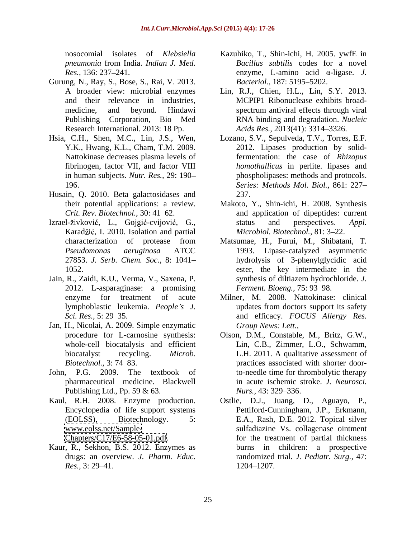- Gurung, N., Ray, S., Bose, S., Rai, V. 2013. Research International. 2013: 18 Pp.
- 
- Husain, Q. 2010. Beta galactosidases and
- Izrael-živković, L., Gojgić-cvijović, G., status and perspectives. Appl. Karadžić, I. 2010. Isolation and partial
- Jain, R., Zaidi, K.U., Verma, V., Saxena, P. 2012. L-asparaginase: a promising
- Jan, H., Nicolai, A. 2009. Simple enzymatic
- John, P.G. 2009. The textbook of Publishing Ltd., Pp. 59 & 63. Nurs., 43: 329–336.
- Kaul, R.H. 2008. Enzyme production.

Kaur, R., Sekhon, B.S. 2012. Enzymes as

- nosocomial isolates of *Klebsiella*  Kazuhiko, T., Shin-ichi, H. 2005. ywfE in *pneumonia* from India. *Indian J. Med.*  $Res.$ , 136: 237–241. *Bacillus subtilis* codes for a novel *Bacteriol.,* 187: 5195-5202.
- A broader view: microbial enzymes Lin, R.J., Chien, H.L., Lin, S.Y. 2013. and their relevance in industries, MCPIP1 Ribonuclease exhibits broad medicine, and beyond. Hindawi Publishing Corporation, Bio Med RNA binding and degradation. *Nucleic*  spectrum antiviral effects through viral *Acids Res., 2013(41): 3314–3326.*
- Hsia, C.H., Shen, M.C., Lin, J.S., Wen, Lozano, S.V., Sepulveda, T.V., Torres, E.F. Y.K., Hwang, K.L., Cham, T.M. 2009. 2012. Lipases production by solid-Nattokinase decreases plasma levels of fermentation: the case of *Rhizopus*  fibrinogen, factor VII, and factor VIII *homothallicus* in perlite. lipases and in human subjects. *Nutr. Res.,* 29: 190 phospholipases: methods and protocols. 196. *Series: Methods Mol. Biol.,* 861: 227 237.
	- their potential applications: a review. Makoto, Y., Shin-ichi, H. 2008. Synthesis *Crit. Rev. Biotechnol.*, 30: 41–62. The and application of dipeptides: current status and perspectives. *Appl. Microbiol. Biotechnol., 81: 3-22.*
	- characterization of protease from Matsumae, H., Furui, M., Shibatani, T. *Pseudomonas aeruginosa* ATCC 1993. Lipase-catalyzed asymmetric 27853. *J. Serb. Chem. Soc.,* 8: 1041 hydrolysis of 3-phenylglycidic acid 1052. ester, the key intermediate in the synthesis of diltiazem hydrochloride. *J. Ferment. Bioeng., 75: 93-98.*
	- enzyme for treatment of acute Milner, M. 2008. Nattokinase: clinical lymphoblastic leukemia. *People's J.* updates from doctors support its safety *Sci. Res.,* 5: 29 35. and efficacy. *FOCUS Allergy Res.* updates from doctors support its safety *Group News: Lett.,*
	- procedure for L-carnosine synthesis: Olson, D.M., Constable, M., Britz, G.W., whole-cell biocatalysis and efficient Lin, C.B., Zimmer, L.O., Schwamm, biocatalyst recycling. *Microb.*  L.H. 2011. A qualitative assessment of *Biotechnol.*, 3: 74–83. The practices associated with shorter doorpharmaceutical medicine. Blackwell in acute ischemic stroke. *J. Neurosci.* to-needle time for thrombolytic therapy *Nurs.,* 43: 329–336.
	- Encyclopedia of life support systems Pettiford-Cunningham, J.P., Erkmann, (EOLSS), Biotechnology. 5: E.A., Rash, D.E. 2012. Topical silver [www.eolss.net/Sample-](http://www.eolss.net/Sample-)<br>sulfadiazine Vs. collagenase ointment [Chapters/C17/E6-58-05-01.pdf.](Chapters/C17/E6-58-05-01.pdf) for the treatment of partial thickness drugs: an overview. *J. Pharm. Educ.* randomized trial*. J. Pediatr. Surg.,* 47: *Res.*, 3: 29–41. 1204–1207. Ostlie, D.J., Juang, D., Aguayo, P., burns in children: a prospective 1204 1207.